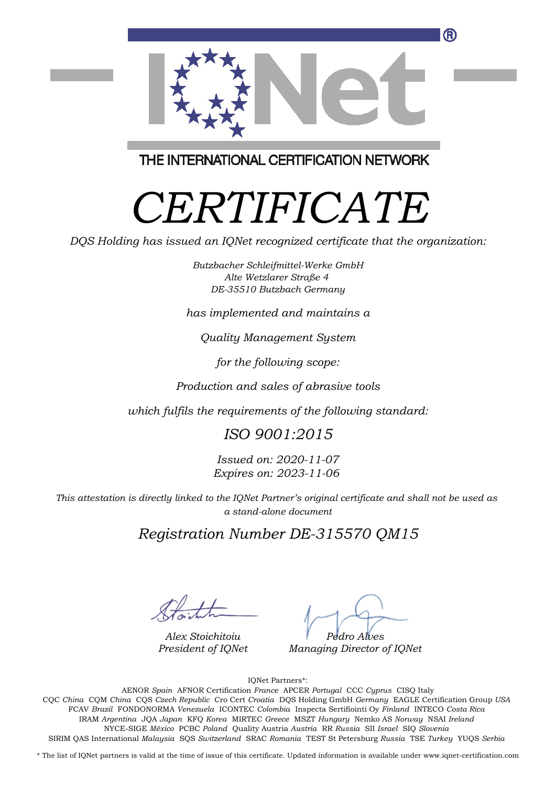

THE INTERNATIONAL CERTIFICATION NETWORK

# *CERTIFICATE*

*DQS Holding has issued an IQNet recognized certificate that the organization:*

*Butzbacher Schleifmittel-Werke GmbH Alte Wetzlarer Straße 4 DE-35510 Butzbach Germany*

*has implemented and maintains a*

*Quality Management System*

*for the following scope:*

*Production and sales of abrasive tools*

*which fulfils the requirements of the following standard:*

### *ISO 9001:2015*

*Issued on: 2020-11-07 Expires on: 2023-11-06*

*This attestation is directly linked to the IQNet Partner's original certificate and shall not be used as a stand-alone document*

*Registration Number DE-315570 QM15*

*Alex Stoichitoiu President of IQNet*

*Pedro Alves*

*Managing Director of IQNet*

IQNet Partners\*:

This annex is only valid in connection with the above-mentioned certificate. FCAV *Brazil* FONDONORMA *Venezuela* ICONTEC *Colombia* Inspecta Sertifiointi Oy *Finland* INTECO *Costa Rica* AENOR *Spain* AFNOR Certification *France* APCER *Portugal* CCC *Cyprus* CISQ Italy CQC *China* CQM *China* CQS *Czech Republic* Cro Cert *Croatia* DQS Holding GmbH *Germany* EAGLE Certification Group *USA* IRAM *Argentina* JQA *Japan* KFQ *Korea* MIRTEC *Greece* MSZT *Hungary* Nemko AS *Norway* NSAI *Ireland* NYCE-SIGE *México* PCBC *Poland* Quality Austria *Austria* RR *Russia* SII *Israel* SIQ *Slovenia* SIRIM QAS International *Malaysia* SQS *Switzerland* SRAC *Romania* TEST St Petersburg *Russia* TSE *Turkey* YUQS *Serbia*

\* The list of IQNet partners is valid at the time of issue of this certificate. Updated information is available under www.iqnet-certification.com